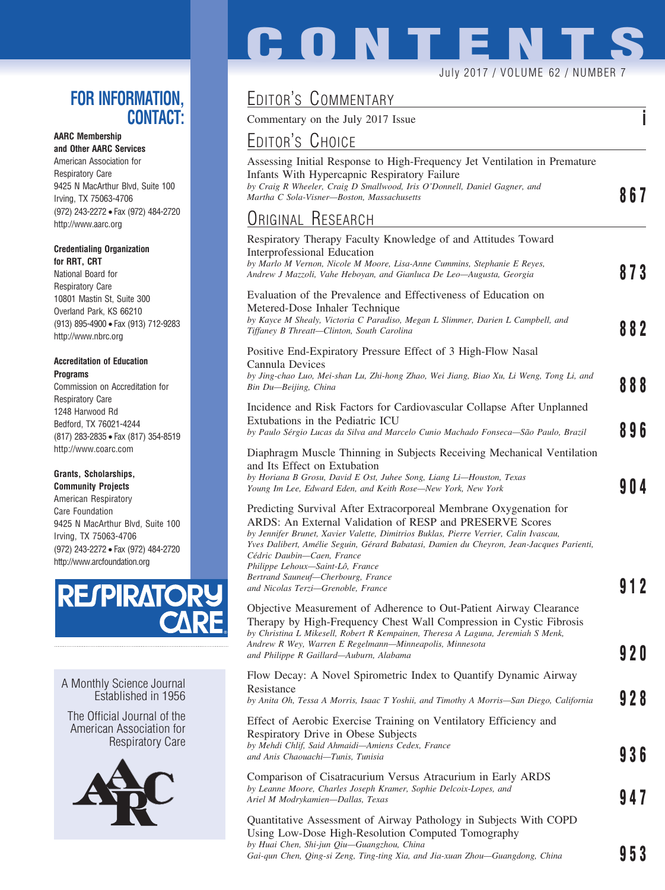## **FOR INFORMATION, CONTACT:**

### **AARC Membership**

**and Other AARC Services** American Association for Respiratory Care 9425 N MacArthur Blvd, Suite 100 Irving, TX 75063-4706 (972) 243-2272 • Fax (972) 484-2720 http://www.aarc.org

#### **Credentialing Organization for RRT, CRT**

National Board for Respiratory Care 10801 Mastin St, Suite 300 Overland Park, KS 66210 (913) 895-4900 • Fax (913) 712-9283 http://www.nbrc.org

#### **Accreditation of Education Programs**

Commission on Accreditation for Respiratory Care 1248 Harwood Rd Bedford, TX 76021-4244 (817) 283-2835 • Fax (817) 354-8519 http://www.coarc.com

### **Grants, Scholarships,**

**Community Projects** American Respiratory Care Foundation 9425 N MacArthur Blvd, Suite 100 Irving, TX 75063-4706 (972) 243-2272 • Fax (972) 484-2720 http://www.arcfoundation.org



A Monthly Science Journal Established in 1956

The Official Journal of the American Association for Respiratory Care



# EDITOR'S COMMENTARY

Commentary on the July 2017 Issue **i**

## EDITOR'S CHOICE

| Assessing Initial Response to High-Frequency Jet Ventilation in Premature |     |
|---------------------------------------------------------------------------|-----|
| Infants With Hypercapnic Respiratory Failure                              |     |
| by Craig R Wheeler, Craig D Smallwood, Iris O'Donnell, Daniel Gagner, and |     |
| Martha C Sola-Visner—Boston, Massachusetts                                | 867 |
|                                                                           |     |

July 2017 / VOLUME 62 / NUMBER 7

**CONTENT** 

## ORIGINAL RESEARCH

| $\sum$                                                                                                                                                                                                                                                                                                                                                                                                                                                          |      |
|-----------------------------------------------------------------------------------------------------------------------------------------------------------------------------------------------------------------------------------------------------------------------------------------------------------------------------------------------------------------------------------------------------------------------------------------------------------------|------|
| Respiratory Therapy Faculty Knowledge of and Attitudes Toward<br>Interprofessional Education<br>by Marlo M Vernon, Nicole M Moore, Lisa-Anne Cummins, Stephanie E Reyes,<br>Andrew J Mazzoli, Vahe Heboyan, and Gianluca De Leo-Augusta, Georgia                                                                                                                                                                                                                | 873  |
| Evaluation of the Prevalence and Effectiveness of Education on<br>Metered-Dose Inhaler Technique<br>by Kayce M Shealy, Victoria C Paradiso, Megan L Slimmer, Darien L Campbell, and<br>Tiffaney B Threatt-Clinton, South Carolina                                                                                                                                                                                                                               | 882  |
| Positive End-Expiratory Pressure Effect of 3 High-Flow Nasal<br>Cannula Devices<br>by Jing-chao Luo, Mei-shan Lu, Zhi-hong Zhao, Wei Jiang, Biao Xu, Li Weng, Tong Li, and<br>Bin Du—Beijing, China                                                                                                                                                                                                                                                             | 888  |
| Incidence and Risk Factors for Cardiovascular Collapse After Unplanned<br>Extubations in the Pediatric ICU<br>by Paulo Sérgio Lucas da Silva and Marcelo Cunio Machado Fonseca-São Paulo, Brazil                                                                                                                                                                                                                                                                | 896  |
| Diaphragm Muscle Thinning in Subjects Receiving Mechanical Ventilation<br>and Its Effect on Extubation<br>by Horiana B Grosu, David E Ost, Juhee Song, Liang Li-Houston, Texas<br>Young Im Lee, Edward Eden, and Keith Rose-New York, New York                                                                                                                                                                                                                  | 904  |
| Predicting Survival After Extracorporeal Membrane Oxygenation for<br>ARDS: An External Validation of RESP and PRESERVE Scores<br>by Jennifer Brunet, Xavier Valette, Dimitrios Buklas, Pierre Verrier, Calin Ivascau,<br>Yves Dalibert, Amélie Seguin, Gérard Babatasi, Damien du Cheyron, Jean-Jacques Parienti,<br>Cédric Daubin—Caen, France<br>Philippe Lehoux—Saint-Lô, France<br>Bertrand Sauneuf—Cherbourg, France<br>and Nicolas Terzi—Grenoble, France | 912  |
| Objective Measurement of Adherence to Out-Patient Airway Clearance<br>Therapy by High-Frequency Chest Wall Compression in Cystic Fibrosis<br>by Christina L Mikesell, Robert R Kempainen, Theresa A Laguna, Jeremiah S Menk,<br>Andrew R Wey, Warren E Regelmann—Minneapolis, Minnesota<br>and Philippe R Gaillard—Auburn, Alabama                                                                                                                              | 920  |
| Flow Decay: A Novel Spirometric Index to Quantify Dynamic Airway<br>Resistance<br>by Anita Oh, Tessa A Morris, Isaac T Yoshii, and Timothy A Morris—San Diego, California                                                                                                                                                                                                                                                                                       | 928  |
| Effect of Aerobic Exercise Training on Ventilatory Efficiency and<br>Respiratory Drive in Obese Subjects<br>by Mehdi Chlif, Said Ahmaidi—Amiens Cedex, France<br>and Anis Chaouachi-Tunis, Tunisia                                                                                                                                                                                                                                                              | 936  |
| Comparison of Cisatracurium Versus Atracurium in Early ARDS<br>by Leanne Moore, Charles Joseph Kramer, Sophie Delcoix-Lopes, and<br>Ariel M Modrykamien-Dallas, Texas                                                                                                                                                                                                                                                                                           | y 47 |
| Quantitative Assessment of Airway Pathology in Subjects With COPD<br>Using Low-Dose High-Resolution Computed Tomography<br>by Huai Chen, Shi-jun Qiu-Guangzhou, China<br>Gai-qun Chen, Qing-si Zeng, Ting-ting Xia, and Jia-xuan Zhou—Guangdong, China                                                                                                                                                                                                          | 953  |
|                                                                                                                                                                                                                                                                                                                                                                                                                                                                 |      |